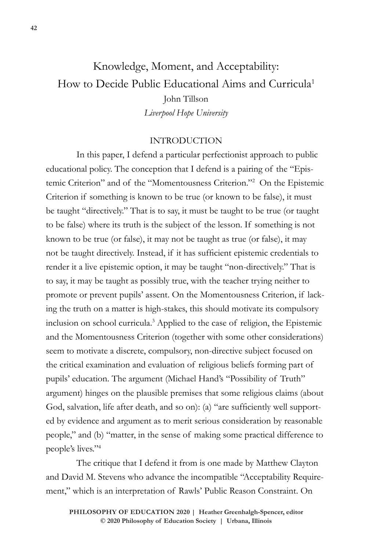# Knowledge, Moment, and Acceptability: How to Decide Public Educational Aims and Curricula<sup>1</sup> John Tillson *Liverpool Hope University*

#### INTRODUCTION

In this paper, I defend a particular perfectionist approach to public educational policy. The conception that I defend is a pairing of the "Epistemic Criterion" and of the "Momentousness Criterion."2 On the Epistemic Criterion if something is known to be true (or known to be false), it must be taught "directively." That is to say, it must be taught to be true (or taught to be false) where its truth is the subject of the lesson. If something is not known to be true (or false), it may not be taught as true (or false), it may not be taught directively. Instead, if it has sufficient epistemic credentials to render it a live epistemic option, it may be taught "non-directively." That is to say, it may be taught as possibly true, with the teacher trying neither to promote or prevent pupils' assent. On the Momentousness Criterion, if lacking the truth on a matter is high-stakes, this should motivate its compulsory inclusion on school curricula.3 Applied to the case of religion, the Epistemic and the Momentousness Criterion (together with some other considerations) seem to motivate a discrete, compulsory, non-directive subject focused on the critical examination and evaluation of religious beliefs forming part of pupils' education. The argument (Michael Hand's "Possibility of Truth" argument) hinges on the plausible premises that some religious claims (about God, salvation, life after death, and so on): (a) "are sufficiently well supported by evidence and argument as to merit serious consideration by reasonable people," and (b) "matter, in the sense of making some practical difference to people's lives."4

The critique that I defend it from is one made by Matthew Clayton and David M. Stevens who advance the incompatible "Acceptability Requirement," which is an interpretation of Rawls' Public Reason Constraint. On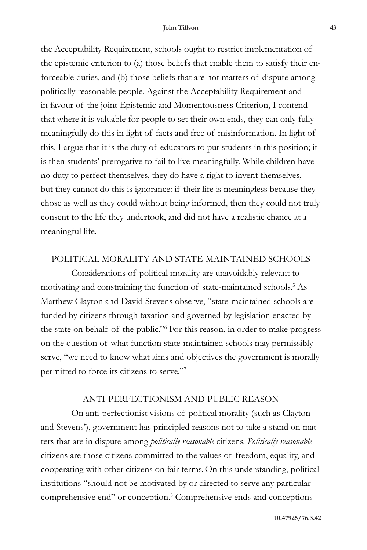#### **John Tillson 43**

the Acceptability Requirement, schools ought to restrict implementation of the epistemic criterion to (a) those beliefs that enable them to satisfy their enforceable duties, and (b) those beliefs that are not matters of dispute among politically reasonable people. Against the Acceptability Requirement and in favour of the joint Epistemic and Momentousness Criterion, I contend that where it is valuable for people to set their own ends, they can only fully meaningfully do this in light of facts and free of misinformation. In light of this, I argue that it is the duty of educators to put students in this position; it is then students' prerogative to fail to live meaningfully. While children have no duty to perfect themselves, they do have a right to invent themselves, but they cannot do this is ignorance: if their life is meaningless because they chose as well as they could without being informed, then they could not truly consent to the life they undertook, and did not have a realistic chance at a meaningful life.

#### POLITICAL MORALITY AND STATE-MAINTAINED SCHOOLS

Considerations of political morality are unavoidably relevant to motivating and constraining the function of state-maintained schools.5 As Matthew Clayton and David Stevens observe, "state-maintained schools are funded by citizens through taxation and governed by legislation enacted by the state on behalf of the public."6 For this reason, in order to make progress on the question of what function state-maintained schools may permissibly serve, "we need to know what aims and objectives the government is morally permitted to force its citizens to serve."7

### ANTI-PERFECTIONISM AND PUBLIC REASON

On anti-perfectionist visions of political morality (such as Clayton and Stevens'), government has principled reasons not to take a stand on matters that are in dispute among *politically reasonable* citizens. *Politically reasonable* citizens are those citizens committed to the values of freedom, equality, and cooperating with other citizens on fair terms.On this understanding, political institutions "should not be motivated by or directed to serve any particular comprehensive end" or conception.<sup>8</sup> Comprehensive ends and conceptions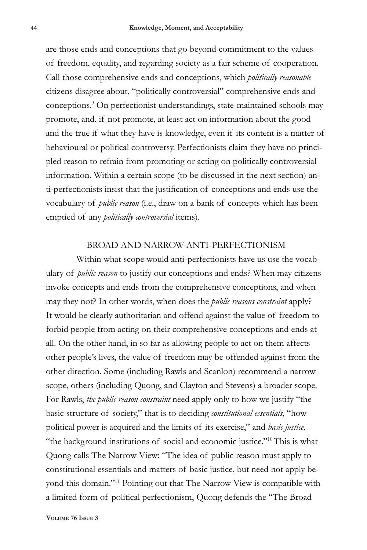are those ends and conceptions that go beyond commitment to the values of freedom, equality, and regarding society as a fair scheme of cooperation. Call those comprehensive ends and conceptions, which *politically reasonable* citizens disagree about, "politically controversial" comprehensive ends and conceptions.9 On perfectionist understandings, state-maintained schools may promote, and, if not promote, at least act on information about the good and the true if what they have is knowledge, even if its content is a matter of behavioural or political controversy. Perfectionists claim they have no principled reason to refrain from promoting or acting on politically controversial information. Within a certain scope (to be discussed in the next section) anti-perfectionists insist that the justification of conceptions and ends use the vocabulary of *public reason* (i.e., draw on a bank of concepts which has been emptied of any *politically controversial* items).

#### BROAD AND NARROW ANTI-PERFECTIONISM

Within what scope would anti-perfectionists have us use the vocabulary of *public reason* to justify our conceptions and ends? When may citizens invoke concepts and ends from the comprehensive conceptions, and when may they not? In other words, when does the *public reasons constraint* apply? It would be clearly authoritarian and offend against the value of freedom to forbid people from acting on their comprehensive conceptions and ends at all. On the other hand, in so far as allowing people to act on them affects other people's lives, the value of freedom may be offended against from the other direction. Some (including Rawls and Scanlon) recommend a narrow scope, others (including Quong, and Clayton and Stevens) a broader scope. For Rawls, *the public reason constraint* need apply only to how we justify "the basic structure of society," that is to deciding *constitutional essentials*, "how political power is acquired and the limits of its exercise," and *basic justice*, "the background institutions of social and economic justice."<sup>10</sup>This is what Quong calls The Narrow View: "The idea of public reason must apply to constitutional essentials and matters of basic justice, but need not apply beyond this domain."11 Pointing out that The Narrow View is compatible with a limited form of political perfectionism, Quong defends the "The Broad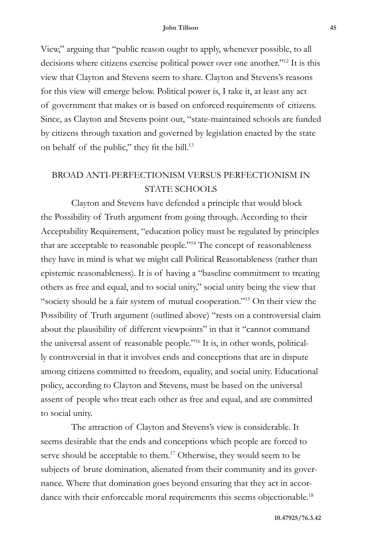View," arguing that "public reason ought to apply, whenever possible, to all decisions where citizens exercise political power over one another."12 It is this view that Clayton and Stevens seem to share. Clayton and Stevens's reasons for this view will emerge below. Political power is, I take it, at least any act of government that makes or is based on enforced requirements of citizens. Since, as Clayton and Stevens point out, "state-maintained schools are funded by citizens through taxation and governed by legislation enacted by the state on behalf of the public," they fit the bill.<sup>13</sup>

# BROAD ANTI-PERFECTIONISM VERSUS PERFECTIONISM IN STATE SCHOOLS

Clayton and Stevens have defended a principle that would block the Possibility of Truth argument from going through. According to their Acceptability Requirement, "education policy must be regulated by principles that are acceptable to reasonable people."14 The concept of reasonableness they have in mind is what we might call Political Reasonableness (rather than epistemic reasonableness). It is of having a "baseline commitment to treating others as free and equal, and to social unity," social unity being the view that "society should be a fair system of mutual cooperation."15 On their view the Possibility of Truth argument (outlined above) "rests on a controversial claim about the plausibility of different viewpoints" in that it "cannot command the universal assent of reasonable people."16 It is, in other words, politically controversial in that it involves ends and conceptions that are in dispute among citizens committed to freedom, equality, and social unity. Educational policy, according to Clayton and Stevens, must be based on the universal assent of people who treat each other as free and equal, and are committed to social unity.

The attraction of Clayton and Stevens's view is considerable. It seems desirable that the ends and conceptions which people are forced to serve should be acceptable to them.<sup>17</sup> Otherwise, they would seem to be subjects of brute domination, alienated from their community and its governance. Where that domination goes beyond ensuring that they act in accordance with their enforceable moral requirements this seems objectionable.<sup>18</sup>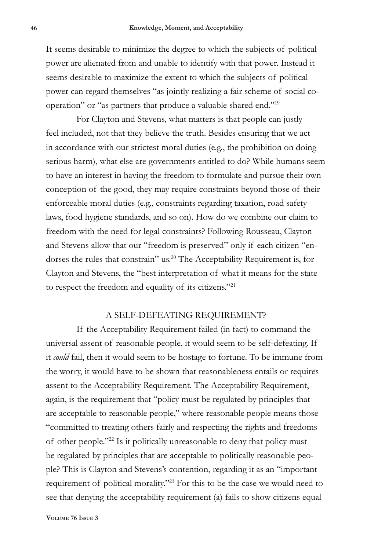It seems desirable to minimize the degree to which the subjects of political power are alienated from and unable to identify with that power. Instead it seems desirable to maximize the extent to which the subjects of political power can regard themselves "as jointly realizing a fair scheme of social cooperation" or "as partners that produce a valuable shared end."19

For Clayton and Stevens, what matters is that people can justly feel included, not that they believe the truth. Besides ensuring that we act in accordance with our strictest moral duties (e.g., the prohibition on doing serious harm), what else are governments entitled to do? While humans seem to have an interest in having the freedom to formulate and pursue their own conception of the good, they may require constraints beyond those of their enforceable moral duties (e.g., constraints regarding taxation, road safety laws, food hygiene standards, and so on). How do we combine our claim to freedom with the need for legal constraints? Following Rousseau, Clayton and Stevens allow that our "freedom is preserved" only if each citizen "endorses the rules that constrain" us.20 The Acceptability Requirement is, for Clayton and Stevens, the "best interpretation of what it means for the state to respect the freedom and equality of its citizens."21

#### A SELF-DEFEATING REQUIREMENT?

If the Acceptability Requirement failed (in fact) to command the universal assent of reasonable people, it would seem to be self-defeating. If it *could* fail, then it would seem to be hostage to fortune. To be immune from the worry, it would have to be shown that reasonableness entails or requires assent to the Acceptability Requirement. The Acceptability Requirement, again, is the requirement that "policy must be regulated by principles that are acceptable to reasonable people," where reasonable people means those "committed to treating others fairly and respecting the rights and freedoms of other people."22 Is it politically unreasonable to deny that policy must be regulated by principles that are acceptable to politically reasonable people? This is Clayton and Stevens's contention, regarding it as an "important requirement of political morality."23 For this to be the case we would need to see that denying the acceptability requirement (a) fails to show citizens equal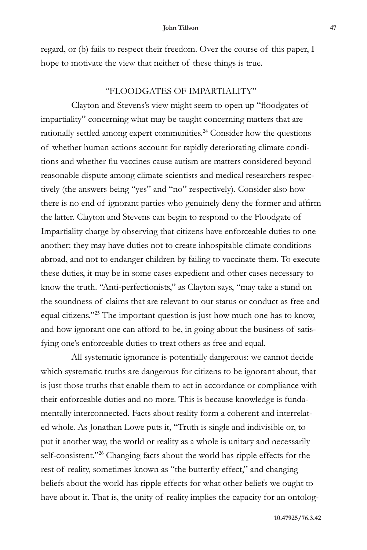regard, or (b) fails to respect their freedom. Over the course of this paper, I hope to motivate the view that neither of these things is true.

## "FLOODGATES OF IMPARTIALITY"

Clayton and Stevens's view might seem to open up "floodgates of impartiality" concerning what may be taught concerning matters that are rationally settled among expert communities.<sup>24</sup> Consider how the questions of whether human actions account for rapidly deteriorating climate conditions and whether flu vaccines cause autism are matters considered beyond reasonable dispute among climate scientists and medical researchers respectively (the answers being "yes" and "no" respectively). Consider also how there is no end of ignorant parties who genuinely deny the former and affirm the latter. Clayton and Stevens can begin to respond to the Floodgate of Impartiality charge by observing that citizens have enforceable duties to one another: they may have duties not to create inhospitable climate conditions abroad, and not to endanger children by failing to vaccinate them. To execute these duties, it may be in some cases expedient and other cases necessary to know the truth. "Anti-perfectionists," as Clayton says, "may take a stand on the soundness of claims that are relevant to our status or conduct as free and equal citizens."25 The important question is just how much one has to know, and how ignorant one can afford to be, in going about the business of satisfying one's enforceable duties to treat others as free and equal.

All systematic ignorance is potentially dangerous: we cannot decide which systematic truths are dangerous for citizens to be ignorant about, that is just those truths that enable them to act in accordance or compliance with their enforceable duties and no more. This is because knowledge is fundamentally interconnected. Facts about reality form a coherent and interrelated whole. As Jonathan Lowe puts it, "Truth is single and indivisible or, to put it another way, the world or reality as a whole is unitary and necessarily self-consistent."<sup>26</sup> Changing facts about the world has ripple effects for the rest of reality, sometimes known as "the butterfly effect," and changing beliefs about the world has ripple effects for what other beliefs we ought to have about it. That is, the unity of reality implies the capacity for an ontolog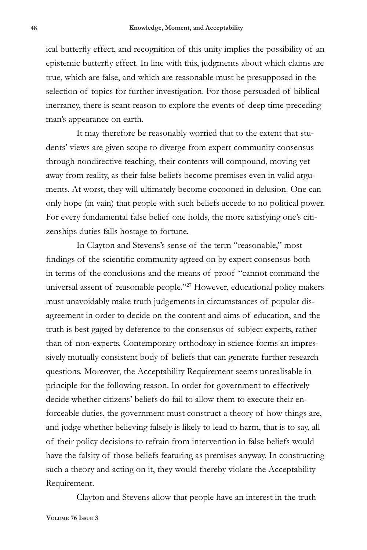ical butterfly effect, and recognition of this unity implies the possibility of an epistemic butterfly effect. In line with this, judgments about which claims are true, which are false, and which are reasonable must be presupposed in the selection of topics for further investigation. For those persuaded of biblical inerrancy, there is scant reason to explore the events of deep time preceding man's appearance on earth.

It may therefore be reasonably worried that to the extent that students' views are given scope to diverge from expert community consensus through nondirective teaching, their contents will compound, moving yet away from reality, as their false beliefs become premises even in valid arguments. At worst, they will ultimately become cocooned in delusion. One can only hope (in vain) that people with such beliefs accede to no political power. For every fundamental false belief one holds, the more satisfying one's citizenships duties falls hostage to fortune.

In Clayton and Stevens's sense of the term "reasonable," most findings of the scientific community agreed on by expert consensus both in terms of the conclusions and the means of proof "cannot command the universal assent of reasonable people."27 However, educational policy makers must unavoidably make truth judgements in circumstances of popular disagreement in order to decide on the content and aims of education, and the truth is best gaged by deference to the consensus of subject experts, rather than of non-experts. Contemporary orthodoxy in science forms an impressively mutually consistent body of beliefs that can generate further research questions. Moreover, the Acceptability Requirement seems unrealisable in principle for the following reason. In order for government to effectively decide whether citizens' beliefs do fail to allow them to execute their enforceable duties, the government must construct a theory of how things are, and judge whether believing falsely is likely to lead to harm, that is to say, all of their policy decisions to refrain from intervention in false beliefs would have the falsity of those beliefs featuring as premises anyway. In constructing such a theory and acting on it, they would thereby violate the Acceptability Requirement.

Clayton and Stevens allow that people have an interest in the truth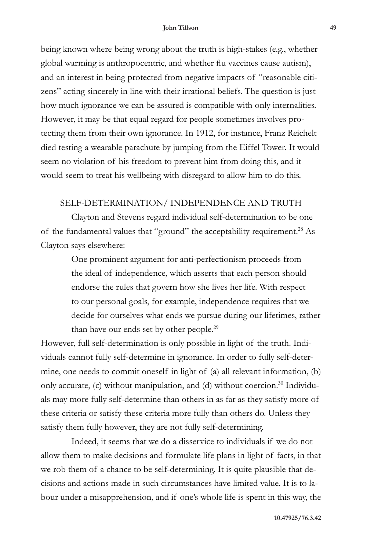#### **John Tillson 49**

being known where being wrong about the truth is high-stakes (e.g., whether global warming is anthropocentric, and whether flu vaccines cause autism), and an interest in being protected from negative impacts of "reasonable citizens" acting sincerely in line with their irrational beliefs. The question is just how much ignorance we can be assured is compatible with only internalities. However, it may be that equal regard for people sometimes involves protecting them from their own ignorance. In 1912, for instance, Franz Reichelt died testing a wearable parachute by jumping from the Eiffel Tower. It would seem no violation of his freedom to prevent him from doing this, and it would seem to treat his wellbeing with disregard to allow him to do this.

## SELF-DETERMINATION/ INDEPENDENCE AND TRUTH

Clayton and Stevens regard individual self-determination to be one of the fundamental values that "ground" the acceptability requirement.<sup>28</sup> As Clayton says elsewhere:

> One prominent argument for anti-perfectionism proceeds from the ideal of independence, which asserts that each person should endorse the rules that govern how she lives her life. With respect to our personal goals, for example, independence requires that we decide for ourselves what ends we pursue during our lifetimes, rather than have our ends set by other people.<sup>29</sup>

However, full self-determination is only possible in light of the truth. Individuals cannot fully self-determine in ignorance. In order to fully self-determine, one needs to commit oneself in light of (a) all relevant information, (b) only accurate, (c) without manipulation, and (d) without coercion.<sup>30</sup> Individuals may more fully self-determine than others in as far as they satisfy more of these criteria or satisfy these criteria more fully than others do. Unless they satisfy them fully however, they are not fully self-determining.

Indeed, it seems that we do a disservice to individuals if we do not allow them to make decisions and formulate life plans in light of facts, in that we rob them of a chance to be self-determining. It is quite plausible that decisions and actions made in such circumstances have limited value. It is to labour under a misapprehension, and if one's whole life is spent in this way, the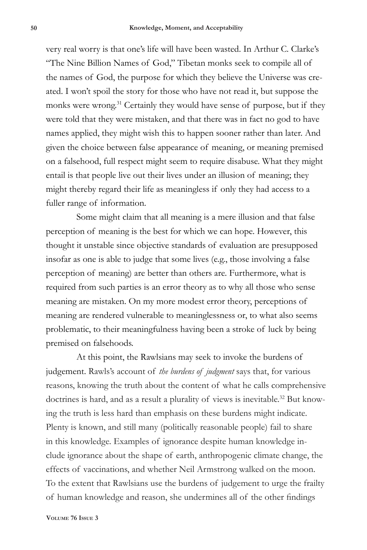very real worry is that one's life will have been wasted. In Arthur C. Clarke's "The Nine Billion Names of God," Tibetan monks seek to compile all of the names of God, the purpose for which they believe the Universe was created. I won't spoil the story for those who have not read it, but suppose the monks were wrong.<sup>31</sup> Certainly they would have sense of purpose, but if they were told that they were mistaken, and that there was in fact no god to have names applied, they might wish this to happen sooner rather than later. And given the choice between false appearance of meaning, or meaning premised on a falsehood, full respect might seem to require disabuse. What they might entail is that people live out their lives under an illusion of meaning; they might thereby regard their life as meaningless if only they had access to a fuller range of information.

Some might claim that all meaning is a mere illusion and that false perception of meaning is the best for which we can hope. However, this thought it unstable since objective standards of evaluation are presupposed insofar as one is able to judge that some lives (e.g., those involving a false perception of meaning) are better than others are. Furthermore, what is required from such parties is an error theory as to why all those who sense meaning are mistaken. On my more modest error theory, perceptions of meaning are rendered vulnerable to meaninglessness or, to what also seems problematic, to their meaningfulness having been a stroke of luck by being premised on falsehoods.

At this point, the Rawlsians may seek to invoke the burdens of judgement. Rawls's account of *the burdens of judgment* says that, for various reasons, knowing the truth about the content of what he calls comprehensive doctrines is hard, and as a result a plurality of views is inevitable.<sup>32</sup> But knowing the truth is less hard than emphasis on these burdens might indicate. Plenty is known, and still many (politically reasonable people) fail to share in this knowledge. Examples of ignorance despite human knowledge include ignorance about the shape of earth, anthropogenic climate change, the effects of vaccinations, and whether Neil Armstrong walked on the moon. To the extent that Rawlsians use the burdens of judgement to urge the frailty of human knowledge and reason, she undermines all of the other findings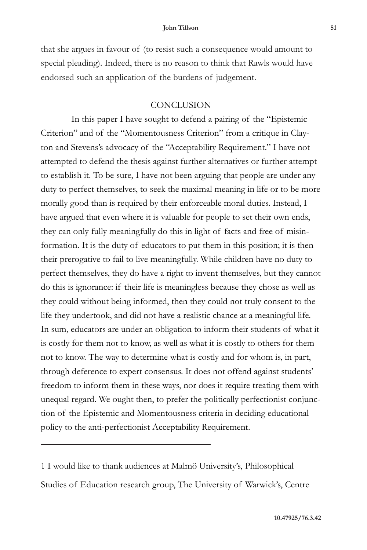#### **John Tillson 51**

that she argues in favour of (to resist such a consequence would amount to special pleading). Indeed, there is no reason to think that Rawls would have endorsed such an application of the burdens of judgement.

## **CONCLUSION**

In this paper I have sought to defend a pairing of the "Epistemic Criterion" and of the "Momentousness Criterion" from a critique in Clayton and Stevens's advocacy of the "Acceptability Requirement." I have not attempted to defend the thesis against further alternatives or further attempt to establish it. To be sure, I have not been arguing that people are under any duty to perfect themselves, to seek the maximal meaning in life or to be more morally good than is required by their enforceable moral duties. Instead, I have argued that even where it is valuable for people to set their own ends, they can only fully meaningfully do this in light of facts and free of misinformation. It is the duty of educators to put them in this position; it is then their prerogative to fail to live meaningfully. While children have no duty to perfect themselves, they do have a right to invent themselves, but they cannot do this is ignorance: if their life is meaningless because they chose as well as they could without being informed, then they could not truly consent to the life they undertook, and did not have a realistic chance at a meaningful life. In sum, educators are under an obligation to inform their students of what it is costly for them not to know, as well as what it is costly to others for them not to know. The way to determine what is costly and for whom is, in part, through deference to expert consensus. It does not offend against students' freedom to inform them in these ways, nor does it require treating them with unequal regard. We ought then, to prefer the politically perfectionist conjunction of the Epistemic and Momentousness criteria in deciding educational policy to the anti-perfectionist Acceptability Requirement.

1 I would like to thank audiences at Malmö University's, Philosophical Studies of Education research group, The University of Warwick's, Centre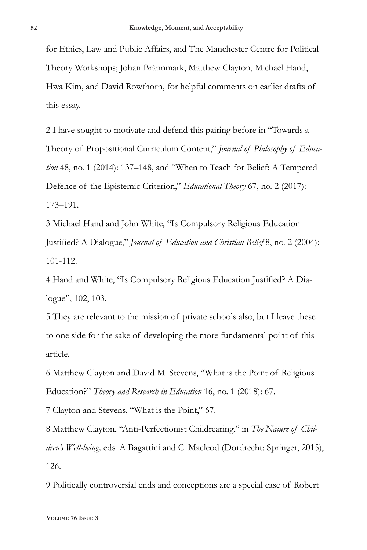for Ethics, Law and Public Affairs, and The Manchester Centre for Political Theory Workshops; Johan Brännmark, Matthew Clayton, Michael Hand, Hwa Kim, and David Rowthorn, for helpful comments on earlier drafts of this essay.

2 I have sought to motivate and defend this pairing before in "Towards a Theory of Propositional Curriculum Content," *Journal of Philosophy of Education* 48, no. 1 (2014): 137–148, and "When to Teach for Belief: A Tempered Defence of the Epistemic Criterion," *Educational Theory* 67, no. 2 (2017): 173–191.

3 Michael Hand and John White, "Is Compulsory Religious Education Justified? A Dialogue," *Journal of Education and Christian Belief* 8, no. 2 (2004): 101-112.

4 Hand and White, "Is Compulsory Religious Education Justified? A Dialogue", 102, 103.

5 They are relevant to the mission of private schools also, but I leave these to one side for the sake of developing the more fundamental point of this article.

6 Matthew Clayton and David M. Stevens, "What is the Point of Religious Education?" *Theory and Research in Education* 16, no. 1 (2018): 67.

7 Clayton and Stevens, "What is the Point," 67.

8 Matthew Clayton, "Anti-Perfectionist Childrearing," in *The Nature of Children's Well-being,* eds. A Bagattini and C. Macleod (Dordrecht: Springer, 2015), 126.

9 Politically controversial ends and conceptions are a special case of Robert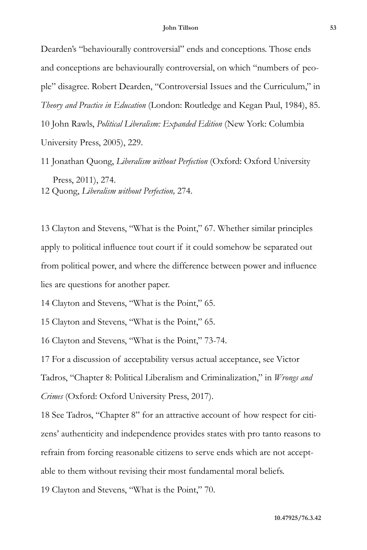Dearden's "behaviourally controversial" ends and conceptions. Those ends and conceptions are behaviourally controversial, on which "numbers of people" disagree. Robert Dearden, "Controversial Issues and the Curriculum," in *Theory and Practice in Education* (London: Routledge and Kegan Paul, 1984), 85. 10 John Rawls, *Political Liberalism: Expanded Edition* (New York: Columbia University Press, 2005), 229.

11 Jonathan Quong, *Liberalism without Perfection* (Oxford: Oxford University Press, 2011), 274. 12 Quong, *Liberalism without Perfection,* 274.

13 Clayton and Stevens, "What is the Point," 67. Whether similar principles apply to political influence tout court if it could somehow be separated out from political power, and where the difference between power and influence lies are questions for another paper.

14 Clayton and Stevens, "What is the Point," 65.

15 Clayton and Stevens, "What is the Point," 65.

16 Clayton and Stevens, "What is the Point," 73-74.

17 For a discussion of acceptability versus actual acceptance, see Victor Tadros, "Chapter 8: Political Liberalism and Criminalization," in *Wrongs and Crimes* (Oxford: Oxford University Press, 2017).

18 See Tadros, "Chapter 8" for an attractive account of how respect for citizens' authenticity and independence provides states with pro tanto reasons to refrain from forcing reasonable citizens to serve ends which are not acceptable to them without revising their most fundamental moral beliefs.

19 Clayton and Stevens, "What is the Point," 70.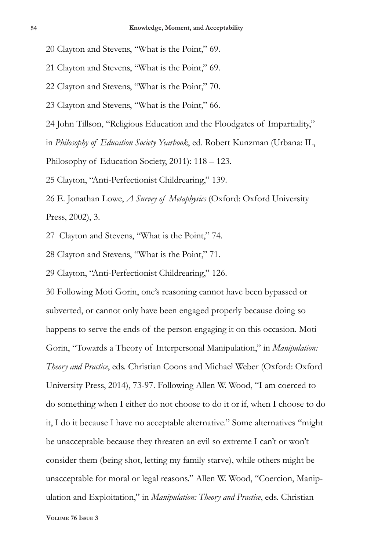20 Clayton and Stevens, "What is the Point," 69.

21 Clayton and Stevens, "What is the Point," 69.

22 Clayton and Stevens, "What is the Point," 70.

23 Clayton and Stevens, "What is the Point," 66.

24 John Tillson, "Religious Education and the Floodgates of Impartiality,"

in *Philosophy of Education Society Yearbook*, ed. Robert Kunzman (Urbana: IL,

Philosophy of Education Society, 2011): 118 – 123.

25 Clayton, "Anti-Perfectionist Childrearing," 139.

26 E. Jonathan Lowe, *A Survey of Metaphysics* (Oxford: Oxford University Press, 2002), 3.

27 Clayton and Stevens, "What is the Point," 74.

28 Clayton and Stevens, "What is the Point," 71.

29 Clayton, "Anti-Perfectionist Childrearing," 126.

30 Following Moti Gorin, one's reasoning cannot have been bypassed or subverted, or cannot only have been engaged properly because doing so happens to serve the ends of the person engaging it on this occasion. Moti Gorin, "Towards a Theory of Interpersonal Manipulation," in *Manipulation: Theory and Practice*, eds. Christian Coons and Michael Weber (Oxford: Oxford University Press, 2014), 73-97. Following Allen W. Wood, "I am coerced to do something when I either do not choose to do it or if, when I choose to do it, I do it because I have no acceptable alternative." Some alternatives "might be unacceptable because they threaten an evil so extreme I can't or won't consider them (being shot, letting my family starve), while others might be unacceptable for moral or legal reasons." Allen W. Wood, "Coercion, Manipulation and Exploitation," in *Manipulation: Theory and Practice*, eds. Christian